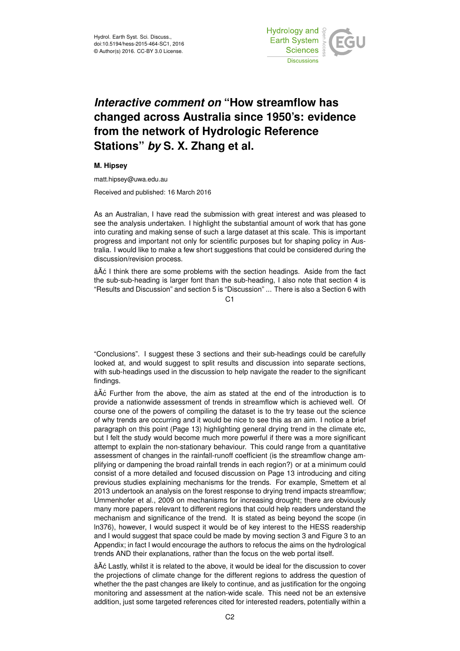

## *Interactive comment on* **"How streamflow has changed across Australia since 1950's: evidence from the network of Hydrologic Reference Stations"** *by* **S. X. Zhang et al.**

## **M. Hipsey**

matt.hipsey@uwa.edu.au

Received and published: 16 March 2016

As an Australian, I have read the submission with great interest and was pleased to see the analysis undertaken. I highlight the substantial amount of work that has gone into curating and making sense of such a large dataset at this scale. This is important progress and important not only for scientific purposes but for shaping policy in Australia. I would like to make a few short suggestions that could be considered during the discussion/revision process.

âAČ I think there are some problems with the section headings. Aside from the fact the sub-sub-heading is larger font than the sub-heading, I also note that section 4 is "Results and Discussion" and section 5 is "Discussion" ... There is also a Section 6 with

 $C<sub>1</sub>$ 

"Conclusions". I suggest these 3 sections and their sub-headings could be carefully looked at, and would suggest to split results and discussion into separate sections, with sub-headings used in the discussion to help navigate the reader to the significant findings.

âĂć Further from the above, the aim as stated at the end of the introduction is to provide a nationwide assessment of trends in streamflow which is achieved well. Of course one of the powers of compiling the dataset is to the try tease out the science of why trends are occurring and it would be nice to see this as an aim. I notice a brief paragraph on this point (Page 13) highlighting general drying trend in the climate etc, but I felt the study would become much more powerful if there was a more significant attempt to explain the non-stationary behaviour. This could range from a quantitative assessment of changes in the rainfall-runoff coefficient (is the streamflow change amplifying or dampening the broad rainfall trends in each region?) or at a minimum could consist of a more detailed and focused discussion on Page 13 introducing and citing previous studies explaining mechanisms for the trends. For example, Smettem et al 2013 undertook an analysis on the forest response to drying trend impacts streamflow; Ummenhofer et al., 2009 on mechanisms for increasing drought; there are obviously many more papers relevant to different regions that could help readers understand the mechanism and significance of the trend. It is stated as being beyond the scope (in ln376), however, I would suspect it would be of key interest to the HESS readership and I would suggest that space could be made by moving section 3 and Figure 3 to an Appendix; in fact I would encourage the authors to refocus the aims on the hydrological trends AND their explanations, rather than the focus on the web portal itself.

âAČ Lastly, whilst it is related to the above, it would be ideal for the discussion to cover the projections of climate change for the different regions to address the question of whether the the past changes are likely to continue, and as justification for the ongoing monitoring and assessment at the nation-wide scale. This need not be an extensive addition, just some targeted references cited for interested readers, potentially within a